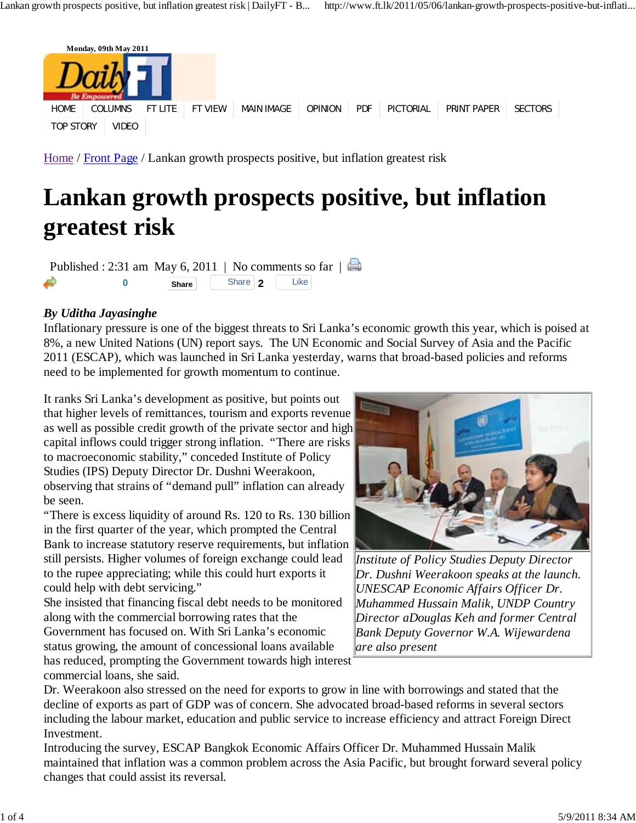## **Lankan growth prospects positive, but inflation greatest risk**

Published : 2:31 am May 6, 2011 | No comments so far  $\parallel \Box$ **2 Like** 

## *By Uditha Jayasinghe*

Inflationary pressure is one of the biggest threats to Sri Lanka's economic growth this year, which is poised at 8%, a new United Nations (UN) report says. The UN Economic and Social Survey of Asia and the Pacific 2011 (ESCAP), which was launched in Sri Lanka yesterday, warns that broad-based policies and reforms need to be implemented for growth momentum to continue.

It ranks Sri Lanka's development as positive, but points out that higher levels of remittances, tourism and exports revenue as well as possible credit growth of the private sector and high capital inflows could trigger strong inflation. "There are risks to macroeconomic stability," conceded Institute of Policy Studies (IPS) Deputy Director Dr. Dushni Weerakoon, observing that strains of "demand pull" inflation can already be seen.

"There is excess liquidity of around Rs. 120 to Rs. 130 billion in the first quarter of the year, which prompted the Central Bank to increase statutory reserve requirements, but inflation still persists. Higher volumes of foreign exchange could lead to the rupee appreciating; while this could hurt exports it could help with debt servicing."

She insisted that financing fiscal debt needs to be monitored along with the commercial borrowing rates that the Government has focused on. With Sri Lanka's economic status growing, the amount of concessional loans available

has reduced, prompting the Government towards high interest commercial loans, she said.



*Institute of Policy Studies Deputy Director Dr. Dushni Weerakoon speaks at the launch. UNESCAP Economic Affairs Officer Dr. Muhammed Hussain Malik, UNDP Country Director aDouglas Keh and former Central Bank Deputy Governor W.A. Wijewardena are also present*

Dr. Weerakoon also stressed on the need for exports to grow in line with borrowings and stated that the decline of exports as part of GDP was of concern. She advocated broad-based reforms in several sectors including the labour market, education and public service to increase efficiency and attract Foreign Direct Investment.

Introducing the survey, ESCAP Bangkok Economic Affairs Officer Dr. Muhammed Hussain Malik maintained that inflation was a common problem across the Asia Pacific, but brought forward several policy changes that could assist its reversal.